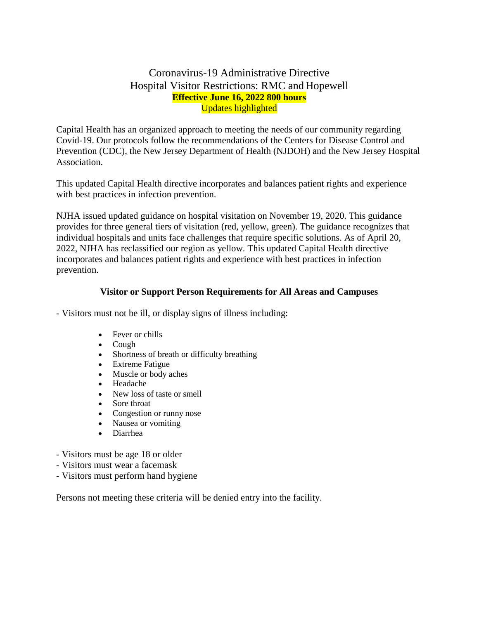## Coronavirus-19 Administrative Directive Hospital Visitor Restrictions: RMC and Hopewell **Effective June 16, 2022 800 hours** Updates highlighted

Capital Health has an organized approach to meeting the needs of our community regarding Covid-19. Our protocols follow the recommendations of the Centers for Disease Control and Prevention (CDC), the New Jersey Department of Health (NJDOH) and the New Jersey Hospital Association.

This updated Capital Health directive incorporates and balances patient rights and experience with best practices in infection prevention.

NJHA issued updated guidance on hospital visitation on November 19, 2020. This guidance provides for three general tiers of visitation (red, yellow, green). The guidance recognizes that individual hospitals and units face challenges that require specific solutions. As of April 20, 2022, NJHA has reclassified our region as yellow. This updated Capital Health directive incorporates and balances patient rights and experience with best practices in infection prevention.

#### **Visitor or Support Person Requirements for All Areas and Campuses**

- Visitors must not be ill, or display signs of illness including:

- Fever or chills
- Cough
- Shortness of breath or difficulty breathing
- Extreme Fatigue
- Muscle or body aches
- Headache
- New loss of taste or smell
- Sore throat
- Congestion or runny nose
- Nausea or vomiting
- Diarrhea
- Visitors must be age 18 or older
- Visitors must wear a facemask
- Visitors must perform hand hygiene

Persons not meeting these criteria will be denied entry into the facility.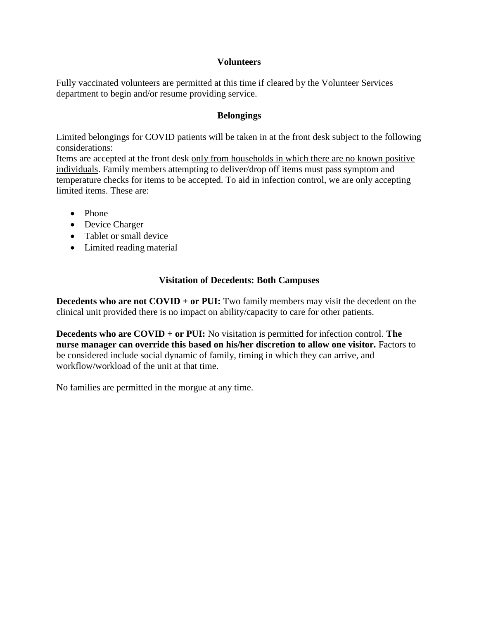#### **Volunteers**

Fully vaccinated volunteers are permitted at this time if cleared by the Volunteer Services department to begin and/or resume providing service.

#### **Belongings**

Limited belongings for COVID patients will be taken in at the front desk subject to the following considerations:

Items are accepted at the front desk only from households in which there are no known positive individuals. Family members attempting to deliver/drop off items must pass symptom and temperature checks for items to be accepted. To aid in infection control, we are only accepting limited items. These are:

- Phone
- Device Charger
- Tablet or small device
- Limited reading material

## **Visitation of Decedents: Both Campuses**

**Decedents who are not COVID + or PUI:** Two family members may visit the decedent on the clinical unit provided there is no impact on ability/capacity to care for other patients.

**Decedents who are COVID + or PUI:** No visitation is permitted for infection control. **The nurse manager can override this based on his/her discretion to allow one visitor.** Factors to be considered include social dynamic of family, timing in which they can arrive, and workflow/workload of the unit at that time.

No families are permitted in the morgue at any time.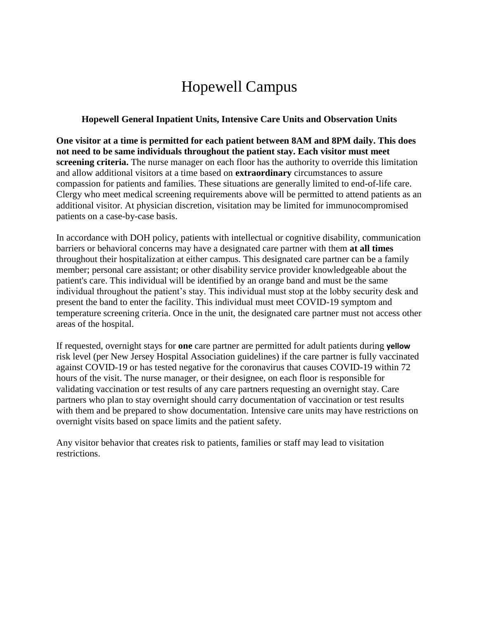# Hopewell Campus

#### **Hopewell General Inpatient Units, Intensive Care Units and Observation Units**

**One visitor at a time is permitted for each patient between 8AM and 8PM daily. This does not need to be same individuals throughout the patient stay. Each visitor must meet screening criteria.** The nurse manager on each floor has the authority to override this limitation and allow additional visitors at a time based on **extraordinary** circumstances to assure compassion for patients and families. These situations are generally limited to end-of-life care. Clergy who meet medical screening requirements above will be permitted to attend patients as an additional visitor. At physician discretion, visitation may be limited for immunocompromised patients on a case-by-case basis.

In accordance with DOH policy, patients with intellectual or cognitive disability, communication barriers or behavioral concerns may have a designated care partner with them **at all times**  throughout their hospitalization at either campus. This designated care partner can be a family member; personal care assistant; or other disability service provider knowledgeable about the patient's care. This individual will be identified by an orange band and must be the same individual throughout the patient's stay. This individual must stop at the lobby security desk and present the band to enter the facility. This individual must meet COVID-19 symptom and temperature screening criteria. Once in the unit, the designated care partner must not access other areas of the hospital.

If requested, overnight stays for **one** care partner are permitted for adult patients during **yellow**  risk level (per New Jersey Hospital Association guidelines) if the care partner is fully vaccinated against COVID-19 or has tested negative for the coronavirus that causes COVID-19 within 72 hours of the visit. The nurse manager, or their designee, on each floor is responsible for validating vaccination or test results of any care partners requesting an overnight stay. Care partners who plan to stay overnight should carry documentation of vaccination or test results with them and be prepared to show documentation. Intensive care units may have restrictions on overnight visits based on space limits and the patient safety.

Any visitor behavior that creates risk to patients, families or staff may lead to visitation restrictions.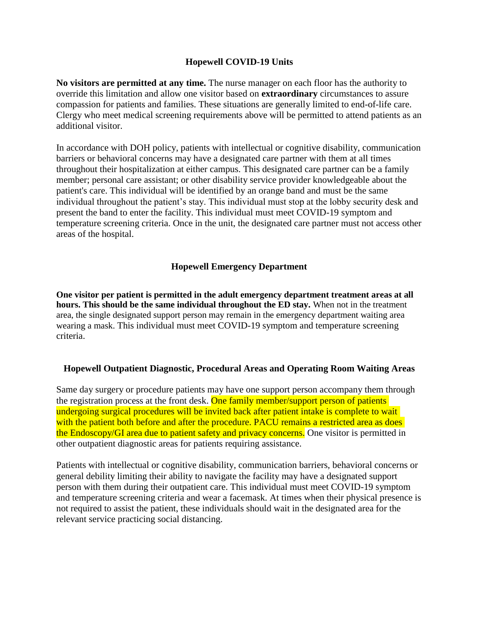#### **Hopewell COVID-19 Units**

**No visitors are permitted at any time.** The nurse manager on each floor has the authority to override this limitation and allow one visitor based on **extraordinary** circumstances to assure compassion for patients and families. These situations are generally limited to end-of-life care. Clergy who meet medical screening requirements above will be permitted to attend patients as an additional visitor.

In accordance with DOH policy, patients with intellectual or cognitive disability, communication barriers or behavioral concerns may have a designated care partner with them at all times throughout their hospitalization at either campus. This designated care partner can be a family member; personal care assistant; or other disability service provider knowledgeable about the patient's care. This individual will be identified by an orange band and must be the same individual throughout the patient's stay. This individual must stop at the lobby security desk and present the band to enter the facility. This individual must meet COVID-19 symptom and temperature screening criteria. Once in the unit, the designated care partner must not access other areas of the hospital.

## **Hopewell Emergency Department**

**One visitor per patient is permitted in the adult emergency department treatment areas at all hours. This should be the same individual throughout the ED stay.** When not in the treatment area, the single designated support person may remain in the emergency department waiting area wearing a mask. This individual must meet COVID-19 symptom and temperature screening criteria.

## **Hopewell Outpatient Diagnostic, Procedural Areas and Operating Room Waiting Areas**

Same day surgery or procedure patients may have one support person accompany them through the registration process at the front desk. One family member/support person of patients undergoing surgical procedures will be invited back after patient intake is complete to wait with the patient both before and after the procedure. PACU remains a restricted area as does the Endoscopy/GI area due to patient safety and privacy concerns. One visitor is permitted in other outpatient diagnostic areas for patients requiring assistance.

Patients with intellectual or cognitive disability, communication barriers, behavioral concerns or general debility limiting their ability to navigate the facility may have a designated support person with them during their outpatient care. This individual must meet COVID-19 symptom and temperature screening criteria and wear a facemask. At times when their physical presence is not required to assist the patient, these individuals should wait in the designated area for the relevant service practicing social distancing.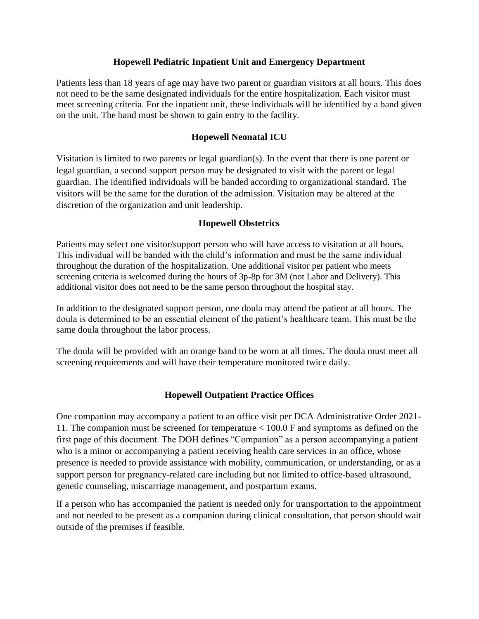#### **Hopewell Pediatric Inpatient Unit and Emergency Department**

Patients less than 18 years of age may have two parent or guardian visitors at all hours. This does not need to be the same designated individuals for the entire hospitalization. Each visitor must meet screening criteria. For the inpatient unit, these individuals will be identified by a band given on the unit. The band must be shown to gain entry to the facility.

## **Hopewell Neonatal ICU**

Visitation is limited to two parents or legal guardian(s). In the event that there is one parent or legal guardian, a second support person may be designated to visit with the parent or legal guardian. The identified individuals will be banded according to organizational standard. The visitors will be the same for the duration of the admission. Visitation may be altered at the discretion of the organization and unit leadership.

#### **Hopewell Obstetrics**

Patients may select one visitor/support person who will have access to visitation at all hours. This individual will be banded with the child's information and must be the same individual throughout the duration of the hospitalization. One additional visitor per patient who meets screening criteria is welcomed during the hours of 3p-8p for 3M (not Labor and Delivery). This additional visitor does not need to be the same person throughout the hospital stay.

In addition to the designated support person, one doula may attend the patient at all hours. The doula is determined to be an essential element of the patient's healthcare team. This must be the same doula throughout the labor process.

The doula will be provided with an orange band to be worn at all times. The doula must meet all screening requirements and will have their temperature monitored twice daily.

## **Hopewell Outpatient Practice Offices**

One companion may accompany a patient to an office visit per DCA Administrative Order 2021- 11. The companion must be screened for temperature < 100.0 F and symptoms as defined on the first page of this document. The DOH defines "Companion" as a person accompanying a patient who is a minor or accompanying a patient receiving health care services in an office, whose presence is needed to provide assistance with mobility, communication, or understanding, or as a support person for pregnancy-related care including but not limited to office-based ultrasound, genetic counseling, miscarriage management, and postpartum exams.

If a person who has accompanied the patient is needed only for transportation to the appointment and not needed to be present as a companion during clinical consultation, that person should wait outside of the premises if feasible.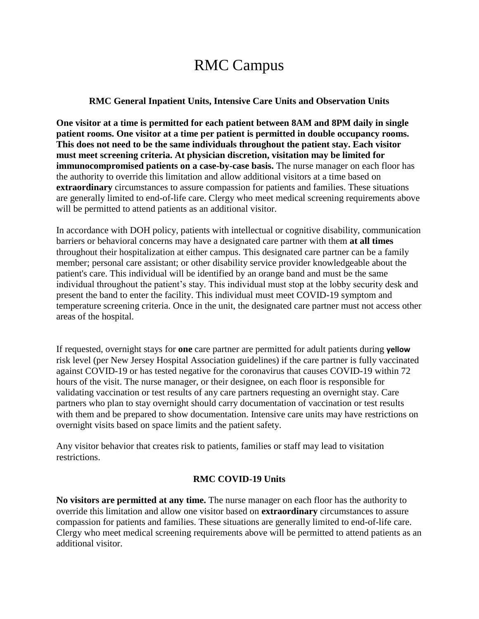## RMC Campus

#### **RMC General Inpatient Units, Intensive Care Units and Observation Units**

**One visitor at a time is permitted for each patient between 8AM and 8PM daily in single patient rooms. One visitor at a time per patient is permitted in double occupancy rooms. This does not need to be the same individuals throughout the patient stay. Each visitor must meet screening criteria. At physician discretion, visitation may be limited for immunocompromised patients on a case-by-case basis.** The nurse manager on each floor has the authority to override this limitation and allow additional visitors at a time based on **extraordinary** circumstances to assure compassion for patients and families. These situations are generally limited to end-of-life care. Clergy who meet medical screening requirements above will be permitted to attend patients as an additional visitor.

In accordance with DOH policy, patients with intellectual or cognitive disability, communication barriers or behavioral concerns may have a designated care partner with them **at all times**  throughout their hospitalization at either campus. This designated care partner can be a family member; personal care assistant; or other disability service provider knowledgeable about the patient's care. This individual will be identified by an orange band and must be the same individual throughout the patient's stay. This individual must stop at the lobby security desk and present the band to enter the facility. This individual must meet COVID-19 symptom and temperature screening criteria. Once in the unit, the designated care partner must not access other areas of the hospital.

If requested, overnight stays for **one** care partner are permitted for adult patients during **yellow**  risk level (per New Jersey Hospital Association guidelines) if the care partner is fully vaccinated against COVID-19 or has tested negative for the coronavirus that causes COVID-19 within 72 hours of the visit. The nurse manager, or their designee, on each floor is responsible for validating vaccination or test results of any care partners requesting an overnight stay. Care partners who plan to stay overnight should carry documentation of vaccination or test results with them and be prepared to show documentation. Intensive care units may have restrictions on overnight visits based on space limits and the patient safety.

Any visitor behavior that creates risk to patients, families or staff may lead to visitation restrictions.

## **RMC COVID-19 Units**

**No visitors are permitted at any time.** The nurse manager on each floor has the authority to override this limitation and allow one visitor based on **extraordinary** circumstances to assure compassion for patients and families. These situations are generally limited to end-of-life care. Clergy who meet medical screening requirements above will be permitted to attend patients as an additional visitor.